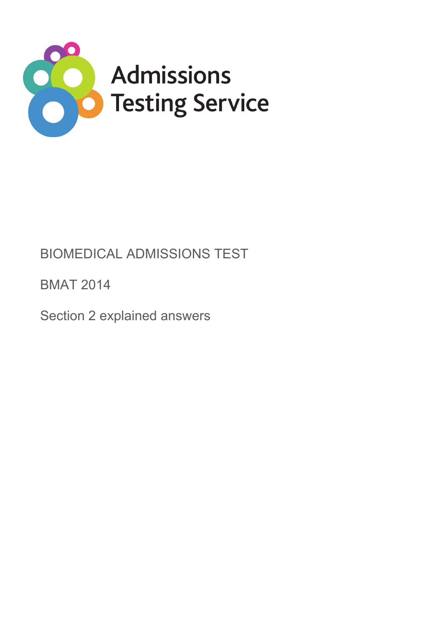

# BIOMEDICAL ADMISSIONS TEST

BMAT 2014

Section 2 explained answers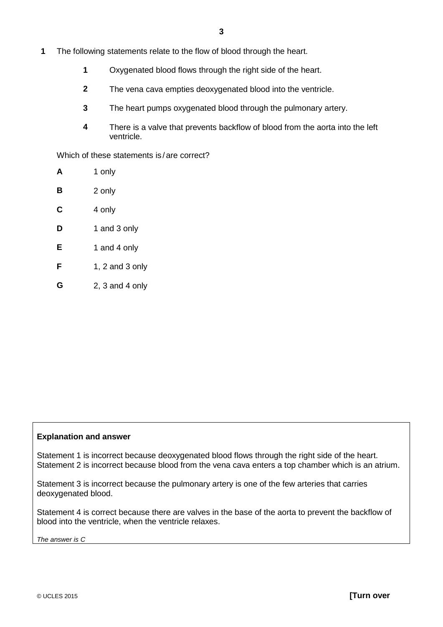- **1** The following statements relate to the flow of blood through the heart.
	- **1** Oxygenated blood flows through the right side of the heart.
	- **2** The vena cava empties deoxygenated blood into the ventricle.
	- **3** The heart pumps oxygenated blood through the pulmonary artery.
	- **4** There is a valve that prevents backflow of blood from the aorta into the left ventricle.

Which of these statements is/are correct?

| A | 1 only              |
|---|---------------------|
| В | 2 only              |
| C | 4 only              |
| D | 1 and 3 only        |
| Е | 1 and 4 only        |
| F | 1, 2 and 3 only     |
| G | 2, $3$ and $4$ only |

## **Explanation and answer**

Statement 1 is incorrect because deoxygenated blood flows through the right side of the heart. Statement 2 is incorrect because blood from the vena cava enters a top chamber which is an atrium.

Statement 3 is incorrect because the pulmonary artery is one of the few arteries that carries deoxygenated blood.

Statement 4 is correct because there are valves in the base of the aorta to prevent the backflow of blood into the ventricle, when the ventricle relaxes.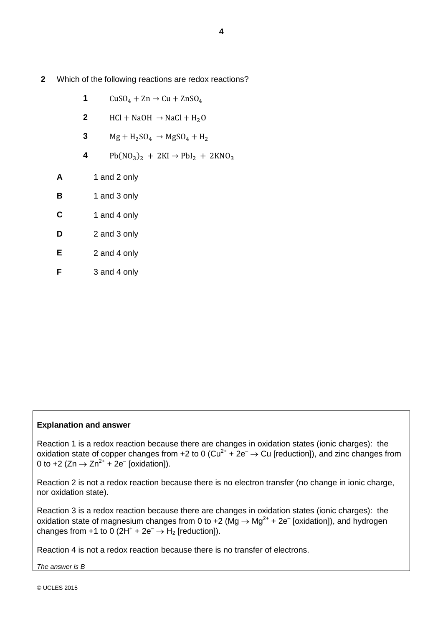- **2** Which of the following reactions are redox reactions?
	- **1**  $CuSO_4 + Zn \rightarrow Cu + ZnSO_4$
	- **2** HCl + NaOH  $\rightarrow$  NaCl + H<sub>2</sub>O
	- **3**  $Mg + H_2SO_4 \rightarrow MgSO_4 + H_2$
	- 4 Pb( $NO_3$ )<sub>2</sub> + 2KI  $\rightarrow$  PbI<sub>2</sub> + 2KNO<sub>3</sub>
	- **A** 1 and 2 only
	- **B** 1 and 3 only
	- **C** 1 and 4 only
	- **D** 2 and 3 only
	- **E** 2 and 4 only
	- **F** 3 and 4 only

# **Explanation and answer**

Reaction 1 is a redox reaction because there are changes in oxidation states (ionic charges): the oxidation state of copper changes from +2 to 0 (Cu<sup>2+</sup> +  $2e^- \rightarrow$  Cu [reduction]), and zinc changes from 0 to +2 (Zn  $\rightarrow$  Zn<sup>2+</sup> + 2e<sup>-</sup> [oxidation]).

Reaction 2 is not a redox reaction because there is no electron transfer (no change in ionic charge, nor oxidation state).

Reaction 3 is a redox reaction because there are changes in oxidation states (ionic charges): the oxidation state of magnesium changes from 0 to +2 ( $\overline{Mg} \rightarrow \overline{Mg}^{2+}$  + 2e<sup>-</sup> [oxidation]), and hydrogen changes from +1 to 0 ( $2H^+$  +  $2e^ \rightarrow$   $H_2$  [reduction]).

Reaction 4 is not a redox reaction because there is no transfer of electrons.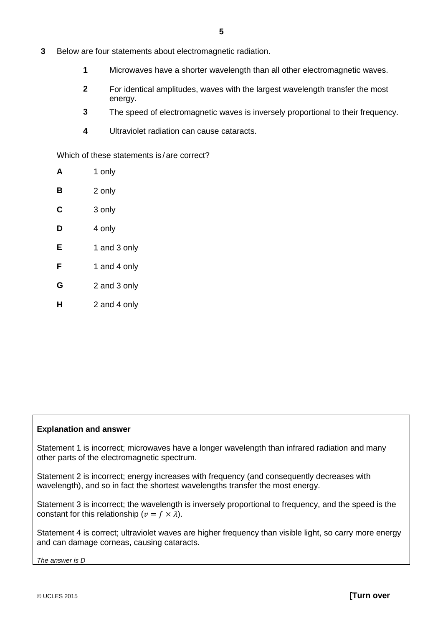- **3** Below are four statements about electromagnetic radiation.
	- **1** Microwaves have a shorter wavelength than all other electromagnetic waves.
	- **2** For identical amplitudes, waves with the largest wavelength transfer the most energy.
	- **3** The speed of electromagnetic waves is inversely proportional to their frequency.
	- **4** Ultraviolet radiation can cause cataracts.

Which of these statements is / are correct?

| A | 1 only       |
|---|--------------|
| в | 2 only       |
| С | 3 only       |
| D | 4 only       |
| Е | 1 and 3 only |
| F | 1 and 4 only |
| G | 2 and 3 only |
| н | 2 and 4 only |

## **Explanation and answer**

Statement 1 is incorrect; microwaves have a longer wavelength than infrared radiation and many other parts of the electromagnetic spectrum.

Statement 2 is incorrect; energy increases with frequency (and consequently decreases with wavelength), and so in fact the shortest wavelengths transfer the most energy.

Statement 3 is incorrect; the wavelength is inversely proportional to frequency, and the speed is the constant for this relationship ( $v = f \times \lambda$ ).

Statement 4 is correct; ultraviolet waves are higher frequency than visible light, so carry more energy and can damage corneas, causing cataracts.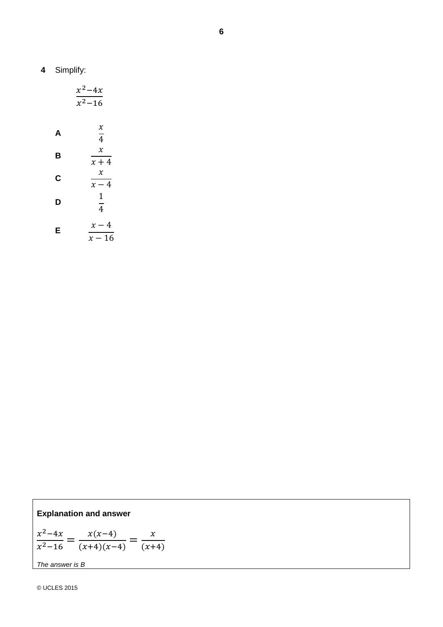|   | $x^2-4x$<br>$x^2 - 16$         |
|---|--------------------------------|
| A | $\chi$<br>$\overline{4}$       |
| В | $\chi$<br>$x + 4$              |
| C | $\boldsymbol{\chi}$<br>$x-4$   |
| D | $\mathbf{1}$<br>$\overline{4}$ |
| Е | – 4<br>$\chi$<br>A C           |

 $x - 16$ 

**Explanation and answer**

$$
\frac{x^2 - 4x}{x^2 - 16} = \frac{x(x-4)}{(x+4)(x-4)} = \frac{x}{(x+4)}
$$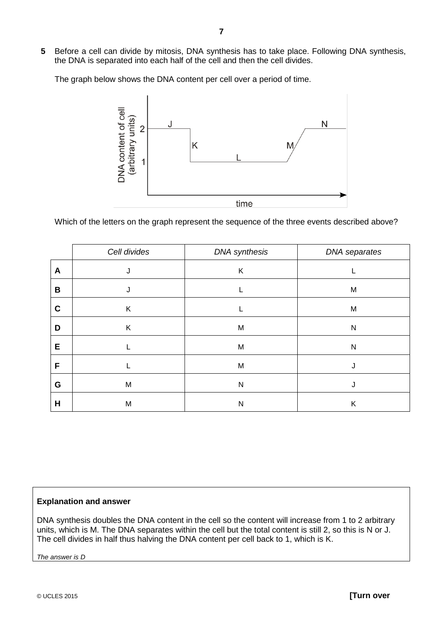**5** Before a cell can divide by mitosis, DNA synthesis has to take place. Following DNA synthesis, the DNA is separated into each half of the cell and then the cell divides.

The graph below shows the DNA content per cell over a period of time.



Which of the letters on the graph represent the sequence of the three events described above?

|             | Cell divides | <b>DNA</b> synthesis | DNA separates |
|-------------|--------------|----------------------|---------------|
| A           | J            | K                    |               |
| B           |              |                      | M             |
| $\mathbf c$ | Κ            |                      | M             |
| D           | K            | M                    | ${\sf N}$     |
| E           |              | M                    | ${\sf N}$     |
| F           |              | M                    |               |
| G           | M            | N                    |               |
| H           | M            | N                    | Κ             |

## **Explanation and answer**

DNA synthesis doubles the DNA content in the cell so the content will increase from 1 to 2 arbitrary units, which is M. The DNA separates within the cell but the total content is still 2, so this is N or J. The cell divides in half thus halving the DNA content per cell back to 1, which is K.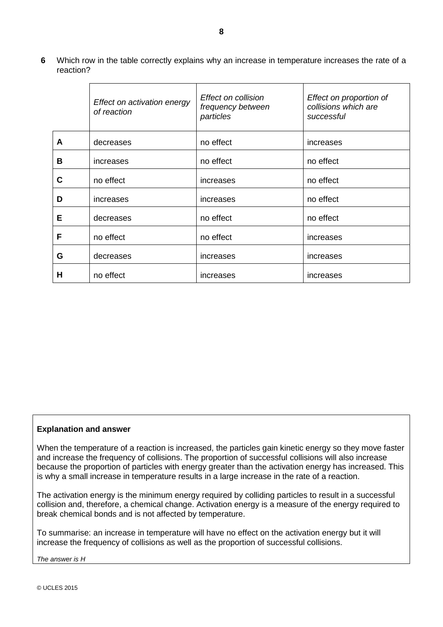**6** Which row in the table correctly explains why an increase in temperature increases the rate of a reaction?

|   | Effect on activation energy<br>of reaction | Effect on collision<br>frequency between<br>particles | Effect on proportion of<br>collisions which are<br>successful |
|---|--------------------------------------------|-------------------------------------------------------|---------------------------------------------------------------|
| A | decreases                                  | no effect                                             | increases                                                     |
| B | increases                                  | no effect                                             | no effect                                                     |
| C | no effect                                  | increases                                             | no effect                                                     |
| D | increases                                  | increases                                             | no effect                                                     |
| Е | decreases                                  | no effect                                             | no effect                                                     |
| F | no effect                                  | no effect                                             | increases                                                     |
| G | decreases                                  | increases                                             | increases                                                     |
| н | no effect                                  | increases                                             | increases                                                     |

## **Explanation and answer**

When the temperature of a reaction is increased, the particles gain kinetic energy so they move faster and increase the frequency of collisions. The proportion of successful collisions will also increase because the proportion of particles with energy greater than the activation energy has increased. This is why a small increase in temperature results in a large increase in the rate of a reaction.

The activation energy is the minimum energy required by colliding particles to result in a successful collision and, therefore, a chemical change. Activation energy is a measure of the energy required to break chemical bonds and is not affected by temperature.

To summarise: an increase in temperature will have no effect on the activation energy but it will increase the frequency of collisions as well as the proportion of successful collisions.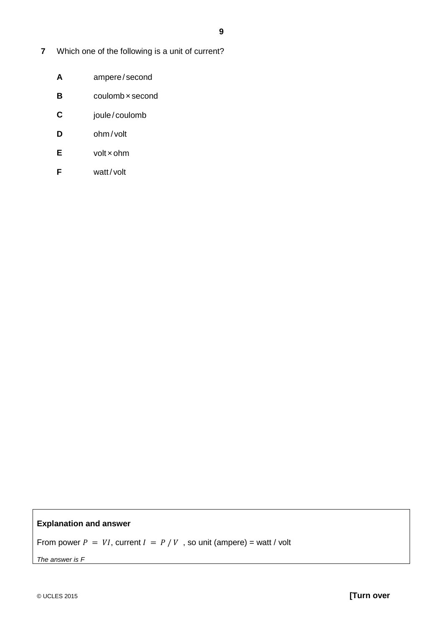- **7** Which one of the following is a unit of current?
	- **A** ampere/ second
	- **B** coulomb x second
	- **C** joule / coulomb
	- **D** ohm / volt
	- **E** volt ×ohm
	- **F** watt/volt

## **Explanation and answer**

From power  $P = VI$ , current  $I = P/V$ , so unit (ampere) = watt / volt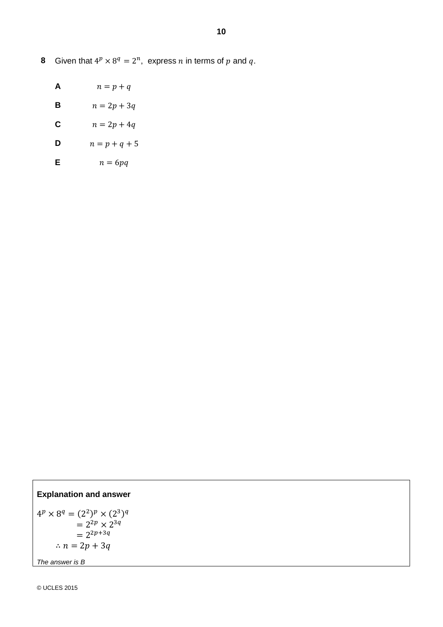**8** Given that  $4^p \times 8^q = 2^n$ , express *n* in terms of *p* and *q*.

- **A**  $n = p + q$
- **B**  $n = 2p + 3q$
- **C**  $n = 2p + 4q$
- **D**  $n = p + q + 5$
- **E**  $n = 6pq$

# **Explanation and answer**

 $4^p\times8^q=(2^2)^p\times(2^3)^q$  $= 2^{2p} \times 2^{3q}$  $= 2^{2p+3q}$  $\therefore$   $n = 2p + 3q$ *The answer is B*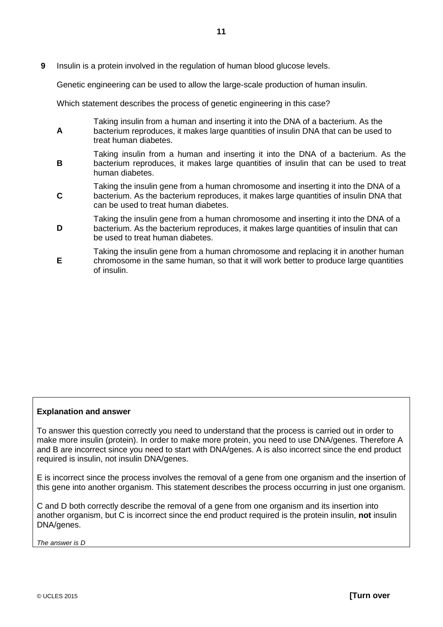**9** Insulin is a protein involved in the regulation of human blood glucose levels.

Genetic engineering can be used to allow the large-scale production of human insulin.

Which statement describes the process of genetic engineering in this case?

- **A** Taking insulin from a human and inserting it into the DNA of a bacterium. As the bacterium reproduces, it makes large quantities of insulin DNA that can be used to treat human diabetes.
- **B** Taking insulin from a human and inserting it into the DNA of a bacterium. As the bacterium reproduces, it makes large quantities of insulin that can be used to treat human diabetes.
- **C** Taking the insulin gene from a human chromosome and inserting it into the DNA of a bacterium. As the bacterium reproduces, it makes large quantities of insulin DNA that can be used to treat human diabetes.
- **D** Taking the insulin gene from a human chromosome and inserting it into the DNA of a bacterium. As the bacterium reproduces, it makes large quantities of insulin that can be used to treat human diabetes.
- **E** Taking the insulin gene from a human chromosome and replacing it in another human chromosome in the same human, so that it will work better to produce large quantities of insulin.

## **Explanation and answer**

To answer this question correctly you need to understand that the process is carried out in order to make more insulin (protein). In order to make more protein, you need to use DNA/genes. Therefore A and B are incorrect since you need to start with DNA/genes. A is also incorrect since the end product required is insulin, not insulin DNA/genes.

E is incorrect since the process involves the removal of a gene from one organism and the insertion of this gene into another organism. This statement describes the process occurring in just one organism.

C and D both correctly describe the removal of a gene from one organism and its insertion into another organism, but C is incorrect since the end product required is the protein insulin, **not** insulin DNA/genes.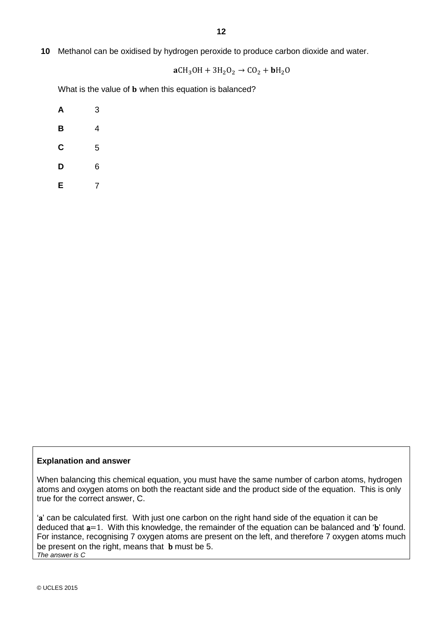**10** Methanol can be oxidised by hydrogen peroxide to produce carbon dioxide and water.

 $aCH_3OH + 3H_2O_2 \rightarrow CO_2 + bH_2O$ 

What is the value of **b** when this equation is balanced?

| Α | 3 |
|---|---|
| B | 4 |
| C | 5 |
| D | 6 |
| Е | 7 |

## **Explanation and answer**

When balancing this chemical equation, you must have the same number of carbon atoms, hydrogen atoms and oxygen atoms on both the reactant side and the product side of the equation. This is only true for the correct answer, C.

'a' can be calculated first. With just one carbon on the right hand side of the equation it can be deduced that a=1. With this knowledge, the remainder of the equation can be balanced and 'b' found. For instance, recognising 7 oxygen atoms are present on the left, and therefore 7 oxygen atoms much be present on the right, means that **b** must be 5. *The answer is C*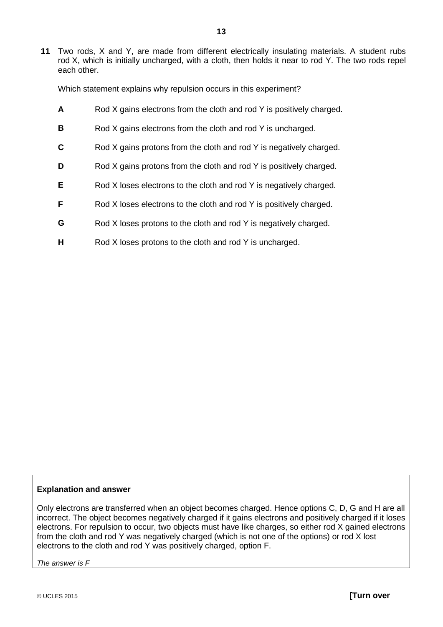**11** Two rods, X and Y, are made from different electrically insulating materials. A student rubs rod X, which is initially uncharged, with a cloth, then holds it near to rod Y. The two rods repel each other.

Which statement explains why repulsion occurs in this experiment?

- **A** Rod X gains electrons from the cloth and rod Y is positively charged.
- **B** Rod X gains electrons from the cloth and rod Y is uncharged.
- **C** Rod X gains protons from the cloth and rod Y is negatively charged.
- **D** Rod X gains protons from the cloth and rod Y is positively charged.
- **E** Rod X loses electrons to the cloth and rod Y is negatively charged.
- **F** Rod X loses electrons to the cloth and rod Y is positively charged.
- **G** Rod X loses protons to the cloth and rod Y is negatively charged.
- **H** Rod X loses protons to the cloth and rod Y is uncharged.

#### **Explanation and answer**

Only electrons are transferred when an object becomes charged. Hence options C, D, G and H are all incorrect. The object becomes negatively charged if it gains electrons and positively charged if it loses electrons. For repulsion to occur, two objects must have like charges, so either rod X gained electrons from the cloth and rod Y was negatively charged (which is not one of the options) or rod X lost electrons to the cloth and rod Y was positively charged, option F.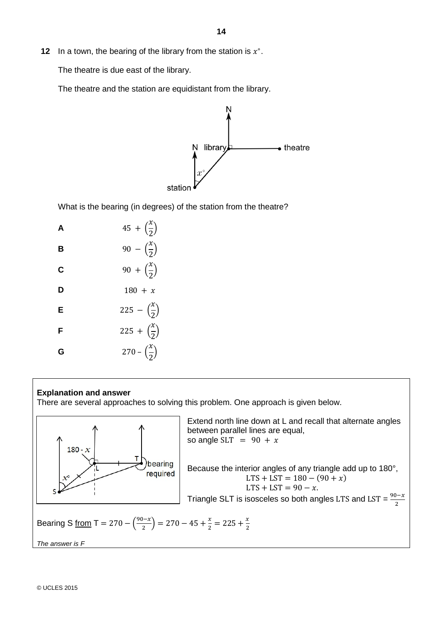**12** In a town, the bearing of the library from the station is  $x^\circ$ .

The theatre is due east of the library.

The theatre and the station are equidistant from the library.



What is the bearing (in degrees) of the station from the theatre?

| А | $45 + (\frac{x}{2})$             |
|---|----------------------------------|
| в | 90 – $\left(\frac{x}{2}\right)$  |
| C | 90 + $\left(\frac{x}{2}\right)$  |
| D | $180 + x$                        |
| E | 225 – $\left(\frac{x}{2}\right)$ |
| F | 225 + $\left(\frac{x}{2}\right)$ |
| G | 270 – $\left(\frac{x}{2}\right)$ |

#### **Explanation and answer**

There are several approaches to solving this problem. One approach is given below.



Extend north line down at L and recall that alternate angles between parallel lines are equal, so angle SLT =  $90 + x$ Because the interior angles of any triangle add up to 180°,  $LTS + LST = 180 - (90 + x)$  $LTS + LST = 90 - x$ .

Triangle SLT is isosceles so both angles LTS and LST =  $\frac{90-x}{2}$ 

Bearing S from T = 270 - 
$$
\left(\frac{90-x}{2}\right)
$$
 = 270 - 45 +  $\frac{x}{2}$  = 225 +  $\frac{x}{2}$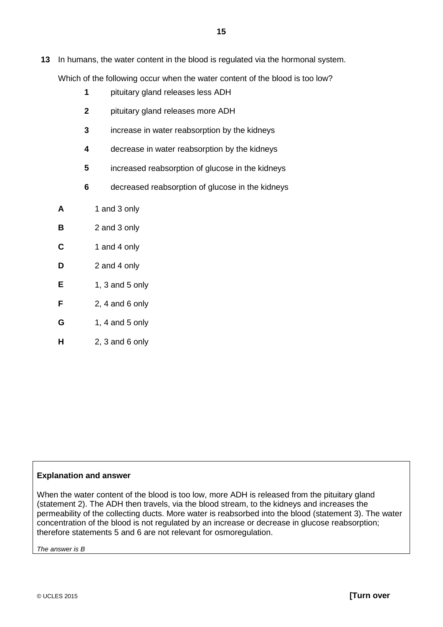**13** In humans, the water content in the blood is regulated via the hormonal system.

Which of the following occur when the water content of the blood is too low?

- **1** pituitary gland releases less ADH
- **2** pituitary gland releases more ADH
- **3** increase in water reabsorption by the kidneys
- **4** decrease in water reabsorption by the kidneys
- **5** increased reabsorption of glucose in the kidneys
- **6** decreased reabsorption of glucose in the kidneys
- **A** 1 and 3 only
- **B** 2 and 3 only
- **C** 1 and 4 only
- **D** 2 and 4 only
- **E** 1, 3 and 5 only
- **F** 2, 4 and 6 only
- **G** 1, 4 and 5 only
- **H** 2, 3 and 6 only

#### **Explanation and answer**

When the water content of the blood is too low, more ADH is released from the pituitary gland (statement 2). The ADH then travels, via the blood stream, to the kidneys and increases the permeability of the collecting ducts. More water is reabsorbed into the blood (statement 3). The water concentration of the blood is not regulated by an increase or decrease in glucose reabsorption; therefore statements 5 and 6 are not relevant for osmoregulation.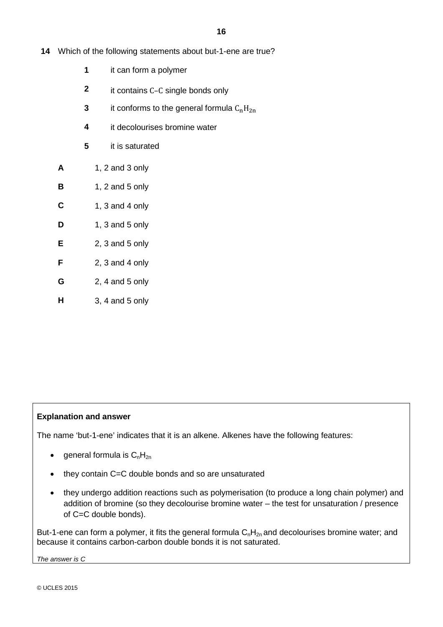- **14** Which of the following statements about but-1-ene are true?
	- **1** it can form a polymer
	- **2** it contains C–C single bonds only
	- **3** it conforms to the general formula  $C_nH_{2n}$
	- **4** it decolourises bromine water
	- **5** it is saturated
	- **A** 1, 2 and 3 only
	- **B** 1, 2 and 5 only
	- **C** 1, 3 and 4 only
	- **D** 1, 3 and 5 only
	- **E** 2, 3 and 5 only
	- **F** 2, 3 and 4 only
	- **G** 2, 4 and 5 only
	- **H** 3, 4 and 5 only

## **Explanation and answer**

The name 'but-1-ene' indicates that it is an alkene. Alkenes have the following features:

- general formula is  $C_nH_{2n}$
- they contain C=C double bonds and so are unsaturated
- they undergo addition reactions such as polymerisation (to produce a long chain polymer) and addition of bromine (so they decolourise bromine water – the test for unsaturation / presence of C=C double bonds).

But-1-ene can form a polymer, it fits the general formula  $C_nH_{2n}$  and decolourises bromine water; and because it contains carbon-carbon double bonds it is not saturated.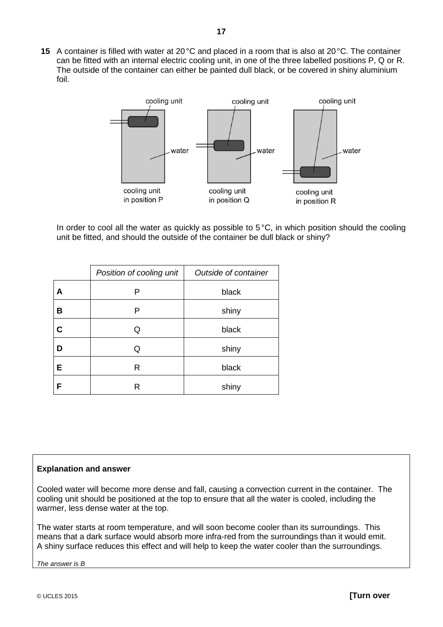**15** A container is filled with water at 20°C and placed in a room that is also at 20°C. The container can be fitted with an internal electric cooling unit, in one of the three labelled positions P, Q or R. The outside of the container can either be painted dull black, or be covered in shiny aluminium foil.



In order to cool all the water as quickly as possible to  $5^{\circ}$ C, in which position should the cooling unit be fitted, and should the outside of the container be dull black or shiny?

|   | Position of cooling unit | Outside of container |
|---|--------------------------|----------------------|
| Α | P                        | black                |
| в | Р                        | shiny                |
| С | Q                        | black                |
| D | Q                        | shiny                |
| E | R                        | black                |
| F | R                        | shiny                |

#### **Explanation and answer**

Cooled water will become more dense and fall, causing a convection current in the container. The cooling unit should be positioned at the top to ensure that all the water is cooled, including the warmer, less dense water at the top.

The water starts at room temperature, and will soon become cooler than its surroundings. This means that a dark surface would absorb more infra-red from the surroundings than it would emit. A shiny surface reduces this effect and will help to keep the water cooler than the surroundings.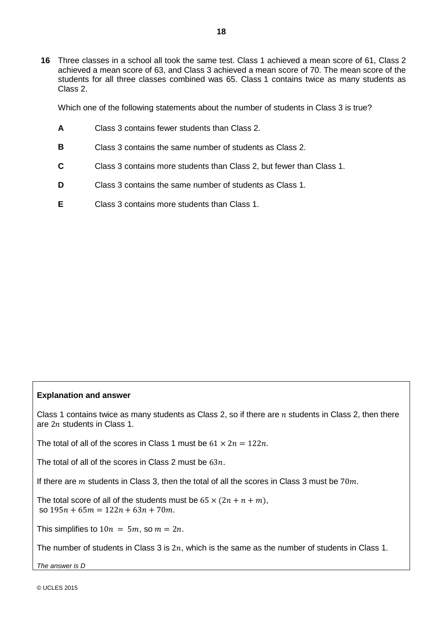**16** Three classes in a school all took the same test. Class 1 achieved a mean score of 61, Class 2 achieved a mean score of 63, and Class 3 achieved a mean score of 70. The mean score of the students for all three classes combined was 65. Class 1 contains twice as many students as Class 2.

Which one of the following statements about the number of students in Class 3 is true?

- **A** Class 3 contains fewer students than Class 2.
- **B** Class 3 contains the same number of students as Class 2.
- **C** Class 3 contains more students than Class 2, but fewer than Class 1.
- **D** Class 3 contains the same number of students as Class 1.
- **E** Class 3 contains more students than Class 1.

#### **Explanation and answer**

Class 1 contains twice as many students as Class 2, so if there are  $n$  students in Class 2, then there are  $2n$  students in Class 1.

The total of all of the scores in Class 1 must be  $61 \times 2n = 122n$ .

The total of all of the scores in Class 2 must be  $63n$ .

If there are  $m$  students in Class 3, then the total of all the scores in Class 3 must be 70 $m$ .

The total score of all of the students must be  $65 \times (2n + n + m)$ , so  $195n + 65m = 122n + 63n + 70m$ .

This simplifies to  $10n = 5m$ , so  $m = 2n$ .

The number of students in Class 3 is  $2n$ , which is the same as the number of students in Class 1.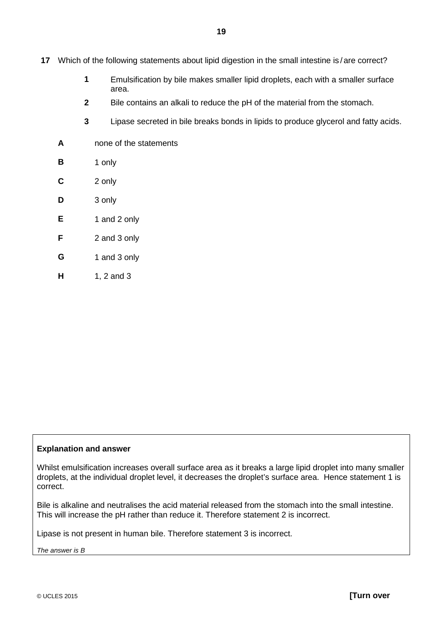- **17** Which of the following statements about lipid digestion in the small intestine is / are correct?
	- **1** Emulsification by bile makes smaller lipid droplets, each with a smaller surface area.
	- **2** Bile contains an alkali to reduce the pH of the material from the stomach.
	- **3** Lipase secreted in bile breaks bonds in lipids to produce glycerol and fatty acids.
	- **A** none of the statements
	- **B** 1 only
	- **C** 2 only
	- **D** 3 only
	- **E** 1 and 2 only
	- **F** 2 and 3 only
	- **G** 1 and 3 only
	- **H** 1, 2 and 3

#### **Explanation and answer**

Whilst emulsification increases overall surface area as it breaks a large lipid droplet into many smaller droplets, at the individual droplet level, it decreases the droplet's surface area. Hence statement 1 is correct.

Bile is alkaline and neutralises the acid material released from the stomach into the small intestine. This will increase the pH rather than reduce it. Therefore statement 2 is incorrect.

Lipase is not present in human bile. Therefore statement 3 is incorrect.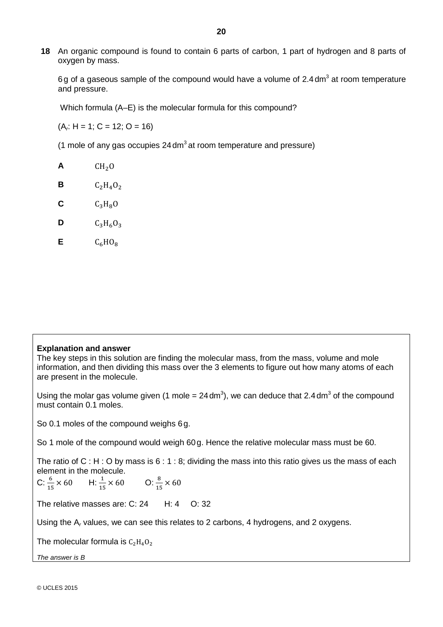**18** An organic compound is found to contain 6 parts of carbon, 1 part of hydrogen and 8 parts of oxygen by mass.

6g of a gaseous sample of the compound would have a volume of  $2.4 \text{ dm}^3$  at room temperature and pressure.

Which formula (A–E) is the molecular formula for this compound?

(A*r*: H = 1; C = 12; O = 16)

(1 mole of any gas occupies  $24 \text{ dm}^3$  at room temperature and pressure)

 $A$  CH<sub>2</sub>O **B**  $C_2H_4O_2$  $C_3H_8O$ **D**  $C_3H_6O_3$ 

 $C_6HO_8$ 

#### **Explanation and answer**

The key steps in this solution are finding the molecular mass, from the mass, volume and mole information, and then dividing this mass over the 3 elements to figure out how many atoms of each are present in the molecule.

Using the molar gas volume given (1 mole = 24 dm<sup>3</sup>), we can deduce that 2.4 dm<sup>3</sup> of the compound must contain 0.1 moles.

So 0.1 moles of the compound weighs 6g.

So 1 mole of the compound would weigh 60g. Hence the relative molecular mass must be 60.

The ratio of C : H : O by mass is 6 : 1 : 8; dividing the mass into this ratio gives us the mass of each element in the molecule.

 $C: \frac{6}{15}$  $\times 60$  H:  $\frac{1}{15} \times 60$  O:  $\frac{8}{15} \times 60$ 

The relative masses are: C: 24 H: 4 O: 32

Using the A*<sup>r</sup>* values, we can see this relates to 2 carbons, 4 hydrogens, and 2 oxygens.

The molecular formula is  $C_2H_4O_2$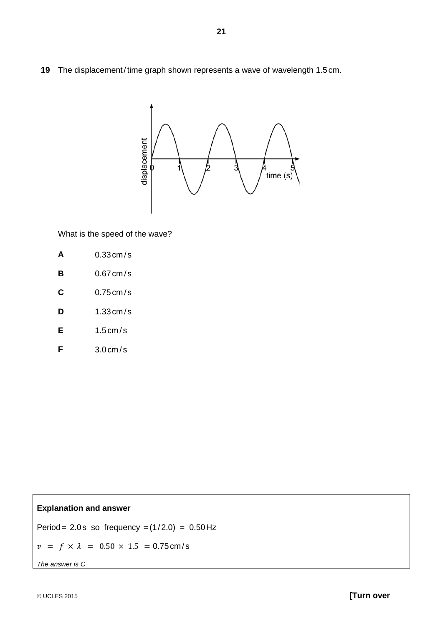**19** The displacement/time graph shown represents a wave of wavelength 1.5 cm.



What is the speed of the wave?

| A | $0.33$ cm/s |
|---|-------------|
|   |             |

- **B** 0.67 cm / s
- **C** 0.75 cm / s
- **D** 1.33 cm / s
- **E** 1.5 cm / s
- **F** 3.0 cm / s

## **Explanation and answer**

Period =  $2.0$ s so frequency = $(1/2.0)$  =  $0.50$  Hz

 $v = f \times \lambda = 0.50 \times 1.5 = 0.75$  cm/s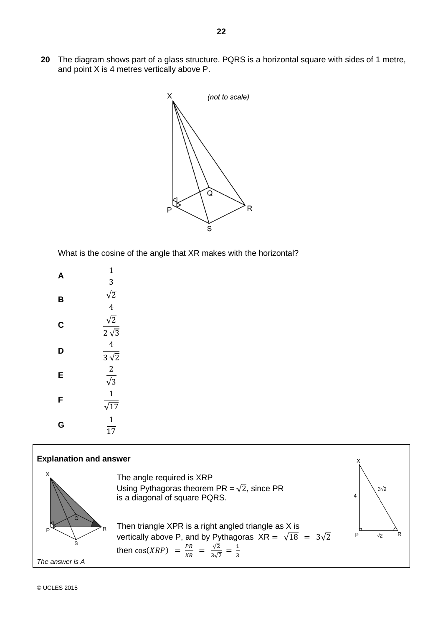**20** The diagram shows part of a glass structure. PQRS is a horizontal square with sides of 1 metre, and point X is 4 metres vertically above P.



What is the cosine of the angle that XR makes with the horizontal?

| А | 1<br>$\overline{3}$                     |
|---|-----------------------------------------|
| B | $\frac{\sqrt{2}}{4}$                    |
| C | $\sqrt{2}$<br>$2\sqrt{3}$               |
| D | 4<br>$3\sqrt{2}$                        |
| E | $\overline{2}$<br>$\overline{\sqrt{3}}$ |
| F | $\mathbf 1$<br>$\sqrt{17}$              |
| G | $\mathbf 1$<br>17                       |



© UCLES 2015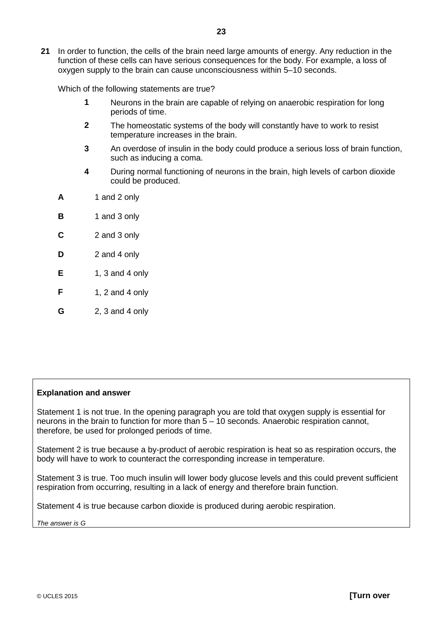**21** In order to function, the cells of the brain need large amounts of energy. Any reduction in the function of these cells can have serious consequences for the body. For example, a loss of oxygen supply to the brain can cause unconsciousness within 5–10 seconds.

Which of the following statements are true?

- **1** Neurons in the brain are capable of relying on anaerobic respiration for long periods of time.
- **2** The homeostatic systems of the body will constantly have to work to resist temperature increases in the brain.
- **3** An overdose of insulin in the body could produce a serious loss of brain function, such as inducing a coma.
- **4** During normal functioning of neurons in the brain, high levels of carbon dioxide could be produced.
- **A** 1 and 2 only
- **B** 1 and 3 only
- **C** 2 and 3 only
- **D** 2 and 4 only
- **E** 1, 3 and 4 only
- **F** 1, 2 and 4 only
- **G** 2, 3 and 4 only

#### **Explanation and answer**

Statement 1 is not true. In the opening paragraph you are told that oxygen supply is essential for neurons in the brain to function for more than 5 – 10 seconds. Anaerobic respiration cannot, therefore, be used for prolonged periods of time.

Statement 2 is true because a by-product of aerobic respiration is heat so as respiration occurs, the body will have to work to counteract the corresponding increase in temperature.

Statement 3 is true. Too much insulin will lower body glucose levels and this could prevent sufficient respiration from occurring, resulting in a lack of energy and therefore brain function.

Statement 4 is true because carbon dioxide is produced during aerobic respiration.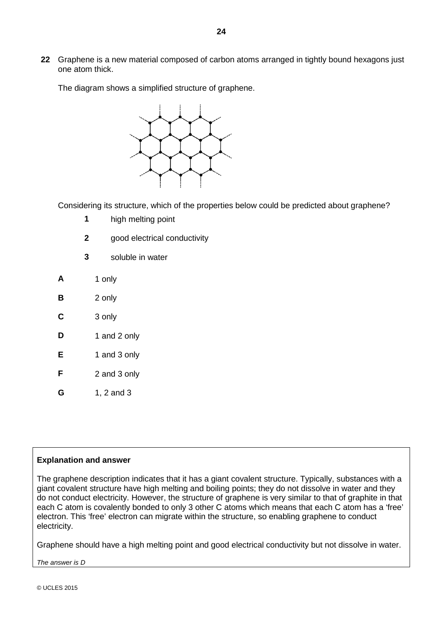**22** Graphene is a new material composed of carbon atoms arranged in tightly bound hexagons just one atom thick.

The diagram shows a simplified structure of graphene.



Considering its structure, which of the properties below could be predicted about graphene?

- **1** high melting point
- **2** good electrical conductivity
- **3** soluble in water
- **A** 1 only
- **B** 2 only
- **C** 3 only
- **D** 1 and 2 only
- **E** 1 and 3 only
- **F** 2 and 3 only
- **G** 1, 2 and 3

#### **Explanation and answer**

The graphene description indicates that it has a giant covalent structure. Typically, substances with a giant covalent structure have high melting and boiling points; they do not dissolve in water and they do not conduct electricity. However, the structure of graphene is very similar to that of graphite in that each C atom is covalently bonded to only 3 other C atoms which means that each C atom has a 'free' electron. This 'free' electron can migrate within the structure, so enabling graphene to conduct electricity.

Graphene should have a high melting point and good electrical conductivity but not dissolve in water.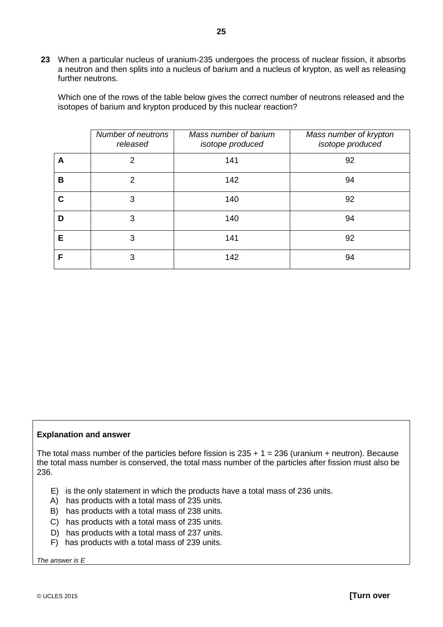**23** When a particular nucleus of uranium-235 undergoes the process of nuclear fission, it absorbs a neutron and then splits into a nucleus of barium and a nucleus of krypton, as well as releasing further neutrons.

Which one of the rows of the table below gives the correct number of neutrons released and the isotopes of barium and krypton produced by this nuclear reaction?

|   | Number of neutrons<br>released | Mass number of barium<br>isotope produced | Mass number of krypton<br>isotope produced |
|---|--------------------------------|-------------------------------------------|--------------------------------------------|
| Α | $\mathcal{P}$                  | 141                                       | 92                                         |
| в | 2                              | 142                                       | 94                                         |
| С | 3                              | 140                                       | 92                                         |
| D | 3                              | 140                                       | 94                                         |
| Е | 3                              | 141                                       | 92                                         |
| F | 3                              | 142                                       | 94                                         |

#### **Explanation and answer**

The total mass number of the particles before fission is  $235 + 1 = 236$  (uranium + neutron). Because the total mass number is conserved, the total mass number of the particles after fission must also be 236.

- E) is the only statement in which the products have a total mass of 236 units.
- A) has products with a total mass of 235 units.
- B) has products with a total mass of 238 units.
- C) has products with a total mass of 235 units.
- D) has products with a total mass of 237 units.
- F) has products with a total mass of 239 units.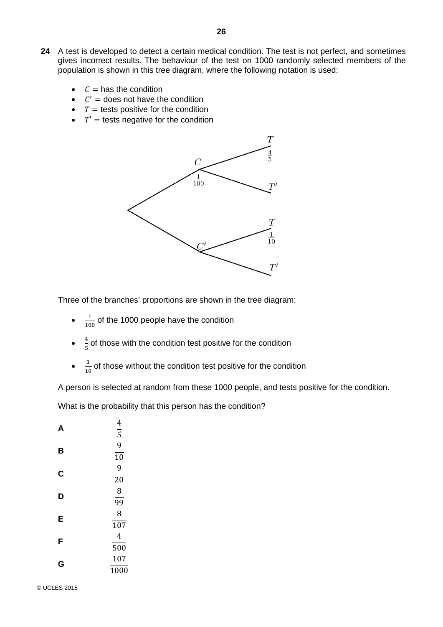- **24** A test is developed to detect a certain medical condition. The test is not perfect, and sometimes gives incorrect results. The behaviour of the test on 1000 randomly selected members of the population is shown in this tree diagram, where the following notation is used:
	- $\mathcal{C} =$  has the condition
	- $\mathcal{C}'$  = does not have the condition
	- $T =$  tests positive for the condition
	- $T' =$  tests negative for the condition



Three of the branches' proportions are shown in the tree diagram:

- $\bullet$   $\frac{1}{100}$  of the 1000 people have the condition
- $\frac{4}{5}$  of those with the condition test positive for the condition
- $\frac{1}{10}$  of those without the condition test positive for the condition

A person is selected at random from these 1000 people, and tests positive for the condition.

What is the probability that this person has the condition?

| А | 4<br>$\overline{5}$ |
|---|---------------------|
|   | 9                   |
| B | 10                  |
| C | 9                   |
|   | 20                  |
| D | 8                   |
|   | 99                  |
| E | 8                   |
|   | 107                 |
| F | 4                   |
|   | 500                 |
| G | 107                 |
|   | 1000                |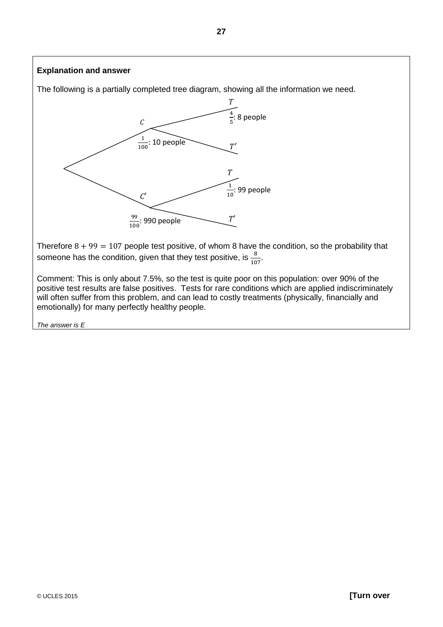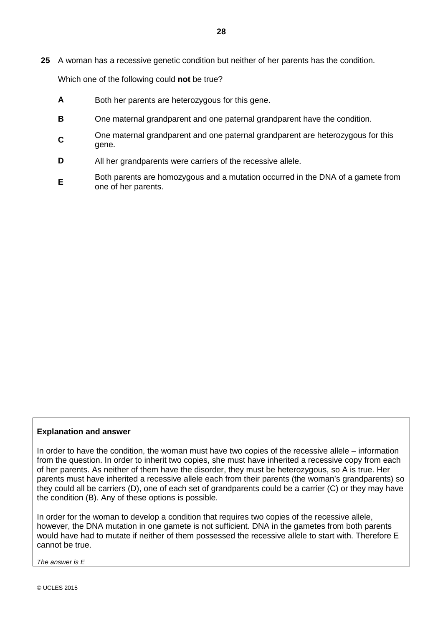**25** A woman has a recessive genetic condition but neither of her parents has the condition.

Which one of the following could **not** be true?

- **A** Both her parents are heterozygous for this gene.
- **B** One maternal grandparent and one paternal grandparent have the condition.
- **<sup>C</sup>** One maternal grandparent and one paternal grandparent are heterozygous for this gene.
- **D** All her grandparents were carriers of the recessive allele.
- **E** Both parents are homozygous and a mutation occurred in the DNA of a gamete from one of her parents.

## **Explanation and answer**

In order to have the condition, the woman must have two copies of the recessive allele – information from the question. In order to inherit two copies, she must have inherited a recessive copy from each of her parents. As neither of them have the disorder, they must be heterozygous, so A is true. Her parents must have inherited a recessive allele each from their parents (the woman's grandparents) so they could all be carriers (D), one of each set of grandparents could be a carrier (C) or they may have the condition (B). Any of these options is possible.

In order for the woman to develop a condition that requires two copies of the recessive allele, however, the DNA mutation in one gamete is not sufficient. DNA in the gametes from both parents would have had to mutate if neither of them possessed the recessive allele to start with. Therefore E cannot be true.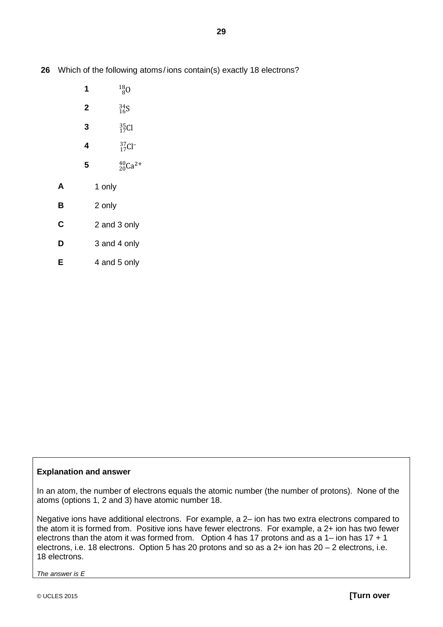**26** Which of the following atoms / ions contain(s) exactly 18 electrons?

- **1**  $^{18}_{80}$
- **2**  $\frac{34}{16}S$
- **3**  ${}^{35}_{17}Cl$
- **4**  $\frac{3}{17}$ Cl<sup>-</sup>
- **5**  ${}^{40}_{20}$ Ca<sup>2+</sup>
- **A** 1 only
- **B** 2 only
- **C** 2 and 3 only
- **D** 3 and 4 only
- **E** 4 and 5 only

## **Explanation and answer**

In an atom, the number of electrons equals the atomic number (the number of protons). None of the atoms (options 1, 2 and 3) have atomic number 18.

Negative ions have additional electrons. For example, a 2– ion has two extra electrons compared to the atom it is formed from. Positive ions have fewer electrons. For example, a 2+ ion has two fewer electrons than the atom it was formed from. Option 4 has 17 protons and as a 1– ion has  $17 + 1$ electrons, i.e. 18 electrons. Option 5 has 20 protons and so as a 2+ ion has 20 – 2 electrons, i.e. 18 electrons.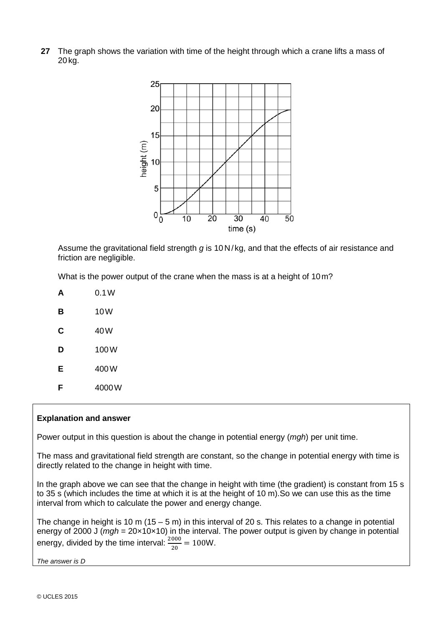**27** The graph shows the variation with time of the height through which a crane lifts a mass of 20 kg.



Assume the gravitational field strength *g* is 10N/ kg, and that the effects of air resistance and friction are negligible.

What is the power output of the crane when the mass is at a height of 10m?

|   | 0.1W   |
|---|--------|
| в | 10 W   |
| С | 40 W   |
| D | 100W   |
| Е | 400 W  |
| F | 4000 W |

## **Explanation and answer**

Power output in this question is about the change in potential energy (*mgh*) per unit time.

The mass and gravitational field strength are constant, so the change in potential energy with time is directly related to the change in height with time.

In the graph above we can see that the change in height with time (the gradient) is constant from 15 s to 35 s (which includes the time at which it is at the height of 10 m).So we can use this as the time interval from which to calculate the power and energy change.

The change in height is 10 m (15 – 5 m) in this interval of 20 s. This relates to a change in potential energy of 2000 J (*mgh* = 20×10×10) in the interval. The power output is given by change in potential energy, divided by the time interval:  $\frac{2000}{20} = 100W$ .